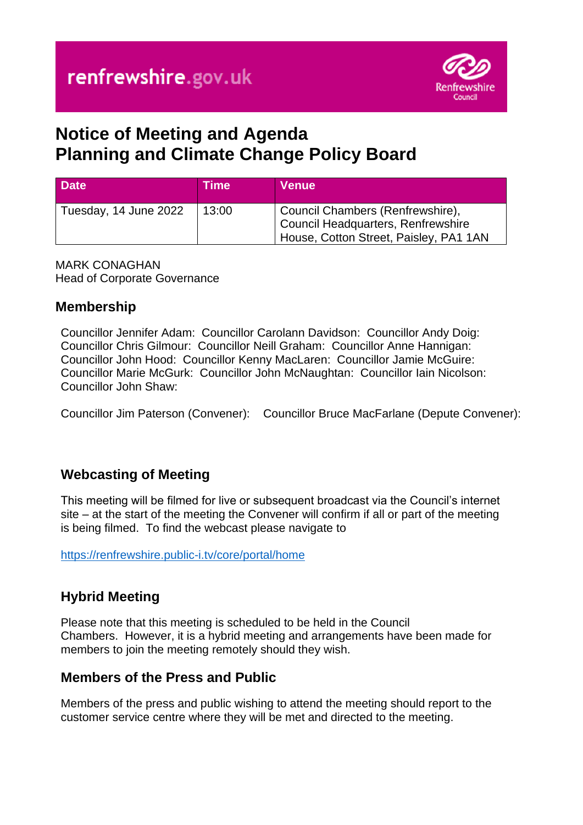

# **Notice of Meeting and Agenda Planning and Climate Change Policy Board**

| <b>Date</b>           | <b>Time</b> | <b>Venue</b>                                                                                                            |
|-----------------------|-------------|-------------------------------------------------------------------------------------------------------------------------|
| Tuesday, 14 June 2022 | 13:00       | Council Chambers (Renfrewshire),<br><b>Council Headquarters, Renfrewshire</b><br>House, Cotton Street, Paisley, PA1 1AN |

MARK CONAGHAN Head of Corporate Governance

## **Membership**

Councillor Jennifer Adam: Councillor Carolann Davidson: Councillor Andy Doig: Councillor Chris Gilmour: Councillor Neill Graham: Councillor Anne Hannigan: Councillor John Hood: Councillor Kenny MacLaren: Councillor Jamie McGuire: Councillor Marie McGurk: Councillor John McNaughtan: Councillor Iain Nicolson: Councillor John Shaw:

Councillor Jim Paterson (Convener): Councillor Bruce MacFarlane (Depute Convener):

## **Webcasting of Meeting**

This meeting will be filmed for live or subsequent broadcast via the Council's internet site – at the start of the meeting the Convener will confirm if all or part of the meeting is being filmed. To find the webcast please navigate to

<https://renfrewshire.public-i.tv/core/portal/home>

## **Hybrid Meeting**

Please note that this meeting is scheduled to be held in the Council Chambers. However, it is a hybrid meeting and arrangements have been made for members to join the meeting remotely should they wish.

#### **Members of the Press and Public**

Members of the press and public wishing to attend the meeting should report to the customer service centre where they will be met and directed to the meeting.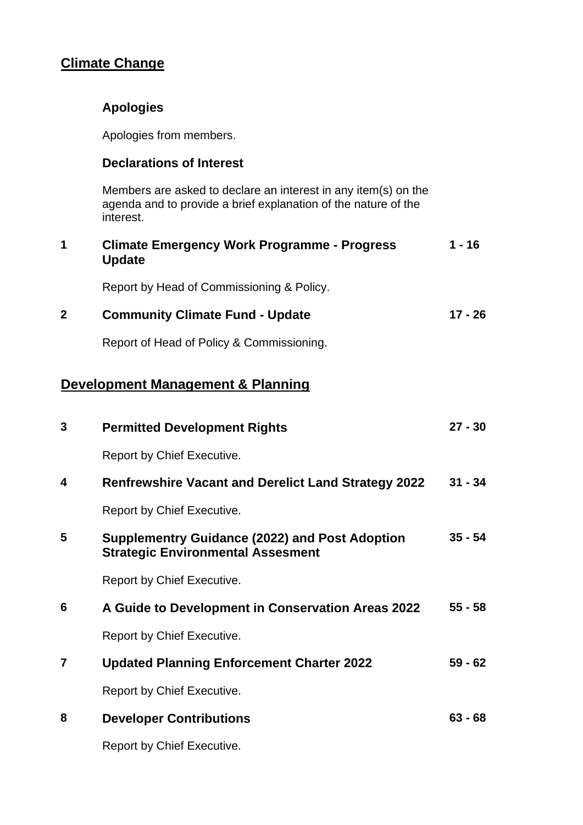# **Climate Change**

## **Apologies**

Apologies from members.

#### **Declarations of Interest**

Members are asked to declare an interest in any item(s) on the agenda and to provide a brief explanation of the nature of the interest.

| 1            | <b>Climate Emergency Work Programme - Progress</b><br><b>Update</b>                               | $1 - 16$  |
|--------------|---------------------------------------------------------------------------------------------------|-----------|
|              | Report by Head of Commissioning & Policy.                                                         |           |
| $\mathbf{2}$ | <b>Community Climate Fund - Update</b>                                                            | $17 - 26$ |
|              | Report of Head of Policy & Commissioning.                                                         |           |
|              | <b>Development Management &amp; Planning</b>                                                      |           |
| 3            | <b>Permitted Development Rights</b>                                                               | $27 - 30$ |
|              | Report by Chief Executive.                                                                        |           |
| 4            | <b>Renfrewshire Vacant and Derelict Land Strategy 2022</b>                                        | $31 - 34$ |
|              | Report by Chief Executive.                                                                        |           |
| 5            | <b>Supplementry Guidance (2022) and Post Adoption</b><br><b>Strategic Environmental Assesment</b> | $35 - 54$ |
|              | Report by Chief Executive.                                                                        |           |
| 6            | A Guide to Development in Conservation Areas 2022                                                 | $55 - 58$ |
|              | Report by Chief Executive.                                                                        |           |

- **7 Updated Planning Enforcement Charter 2022** Report by Chief Executive. **59 - 62**
- **8 Developer Contributions 63 - 68**

Report by Chief Executive.